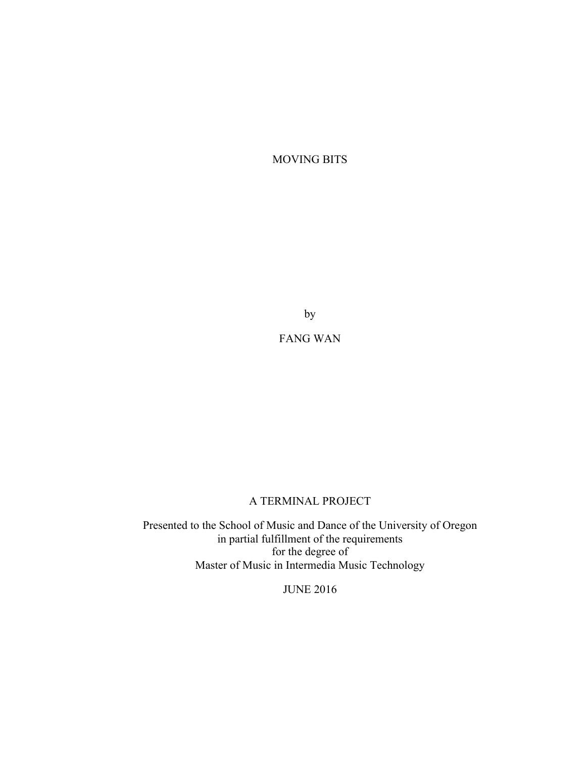MOVING BITS

by

FANG WAN

### A TERMINAL PROJECT

Presented to the School of Music and Dance of the University of Oregon in partial fulfillment of the requirements for the degree of Master of Music in Intermedia Music Technology

JUNE 2016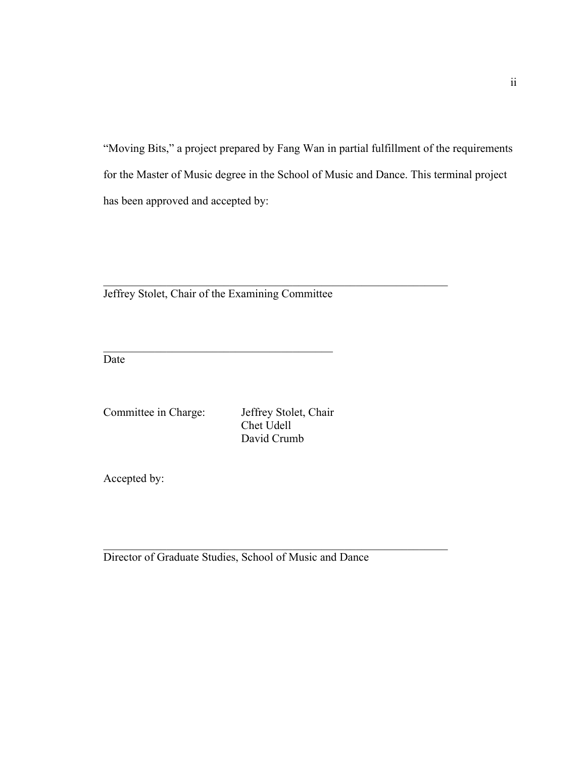"Moving Bits," a project prepared by Fang Wan in partial fulfillment of the requirements for the Master of Music degree in the School of Music and Dance. This terminal project has been approved and accepted by:

Jeffrey Stolet, Chair of the Examining Committee

 $\mathcal{L}_\text{max}$ 

Date

Committee in Charge: Jeffrey Stolet, Chair Chet Udell David Crumb

 $\mathcal{L}_\text{max}$  , and the contribution of the contribution of the contribution of the contribution of the contribution of the contribution of the contribution of the contribution of the contribution of the contribution of t

 $\mathcal{L}_\text{max}$  , and the contribution of the contribution of the contribution of the contribution of the contribution of the contribution of the contribution of the contribution of the contribution of the contribution of t

Accepted by:

Director of Graduate Studies, School of Music and Dance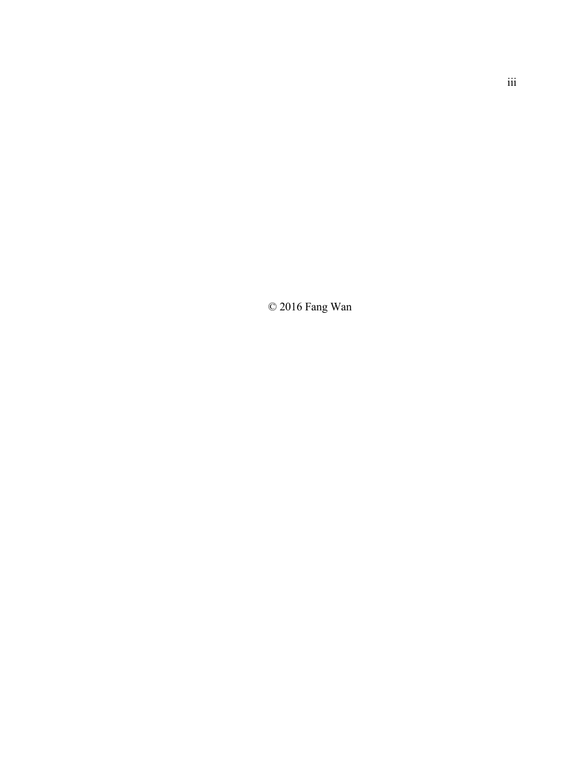$\odot$  2016 Fang Wan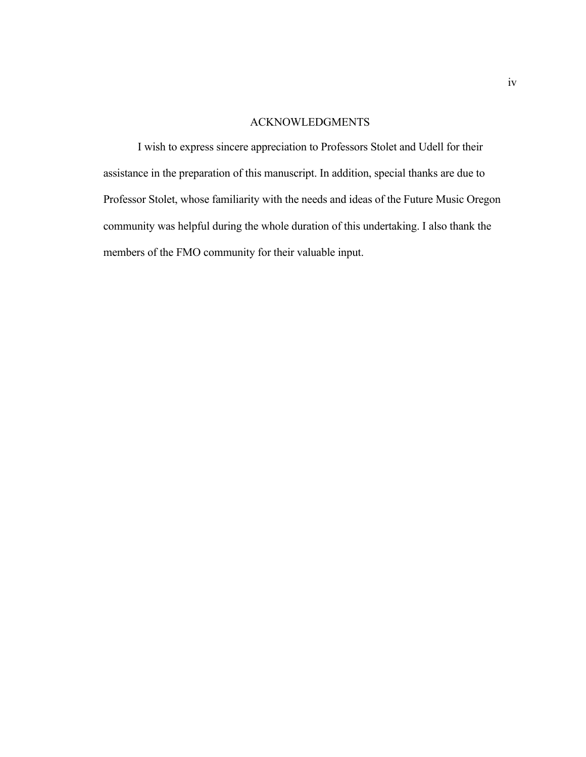### ACKNOWLEDGMENTS

I wish to express sincere appreciation to Professors Stolet and Udell for their assistance in the preparation of this manuscript. In addition, special thanks are due to Professor Stolet, whose familiarity with the needs and ideas of the Future Music Oregon community was helpful during the whole duration of this undertaking. I also thank the members of the FMO community for their valuable input.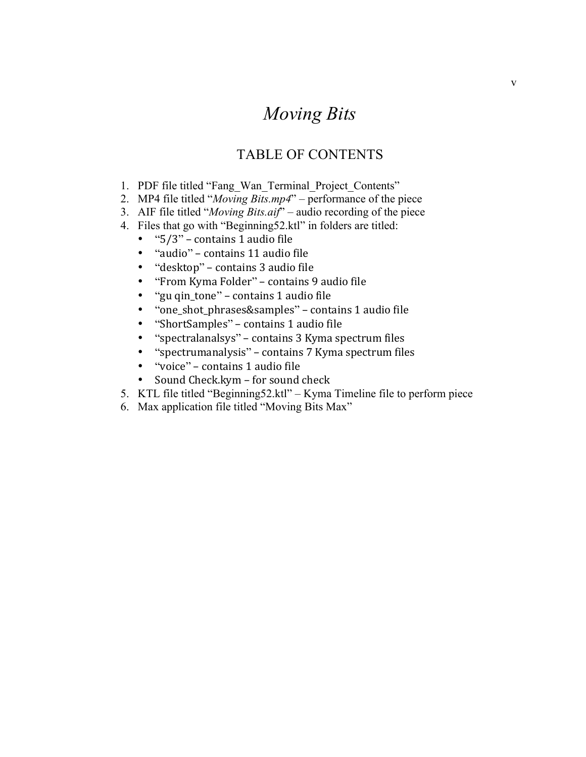# *Moving Bits*

## TABLE OF CONTENTS

- 1. PDF file titled "Fang\_Wan\_Terminal\_Project\_Contents"
- 2. MP4 file titled "*Moving Bits.mp4*" performance of the piece
- 3. AIF file titled "*Moving Bits.aif*" audio recording of the piece
- 4. Files that go with "Beginning52.ktl" in folders are titled:
	- $"5/3"$  contains 1 audio file
	- "audio" contains 11 audio file
	- "desktop" contains 3 audio file
	- "From Kyma Folder" contains 9 audio file
	- "gu qin\_tone" contains 1 audio file<br>• "one shot phrases&samples" conta
	- "one\_shot\_phrases&samples" contains 1 audio file
	- "ShortSamples" contains 1 audio file<br>• "spectralanalsys" contains 3 Kyma sr
	- "spectralanalsys" contains 3 Kyma spectrum files
	- "spectrumanalysis" contains 7 Kyma spectrum files
	- "voice" contains 1 audio file
	- Sound Check.kym for sound check
- 5. KTL file titled "Beginning52.ktl" Kyma Timeline file to perform piece
- 6. Max application file titled "Moving Bits Max"